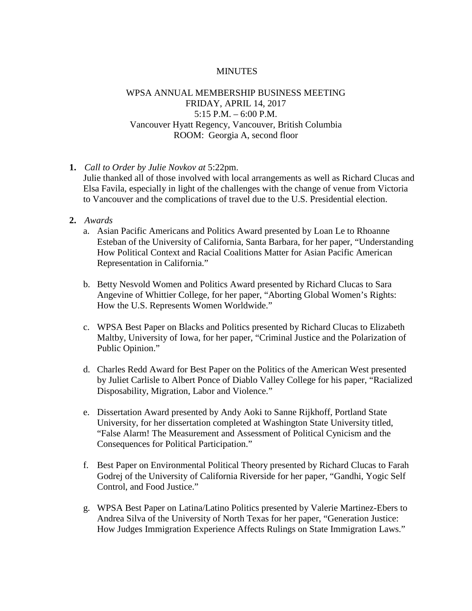## **MINUTES**

## WPSA ANNUAL MEMBERSHIP BUSINESS MEETING FRIDAY, APRIL 14, 2017  $5:15$  P.M.  $-6:00$  P.M. Vancouver Hyatt Regency, Vancouver, British Columbia ROOM: Georgia A, second floor

- **1.** *Call to Order by Julie Novkov at* 5:22pm.
	- Julie thanked all of those involved with local arrangements as well as Richard Clucas and Elsa Favila, especially in light of the challenges with the change of venue from Victoria to Vancouver and the complications of travel due to the U.S. Presidential election.
- **2.** *Awards*
	- a. Asian Pacific Americans and Politics Award presented by Loan Le to Rhoanne Esteban of the University of California, Santa Barbara, for her paper, "Understanding How Political Context and Racial Coalitions Matter for Asian Pacific American Representation in California."
	- b. Betty Nesvold Women and Politics Award presented by Richard Clucas to Sara Angevine of Whittier College, for her paper, "Aborting Global Women's Rights: How the U.S. Represents Women Worldwide."
	- c. WPSA Best Paper on Blacks and Politics presented by Richard Clucas to Elizabeth Maltby, University of Iowa, for her paper, "Criminal Justice and the Polarization of Public Opinion."
	- d. Charles Redd Award for Best Paper on the Politics of the American West presented by Juliet Carlisle to Albert Ponce of Diablo Valley College for his paper, "Racialized Disposability, Migration, Labor and Violence."
	- e. Dissertation Award presented by Andy Aoki to Sanne Rijkhoff, Portland State University, for her dissertation completed at Washington State University titled, "False Alarm! The Measurement and Assessment of Political Cynicism and the Consequences for Political Participation."
	- f. Best Paper on Environmental Political Theory presented by Richard Clucas to Farah Godrej of the University of California Riverside for her paper, "Gandhi, Yogic Self Control, and Food Justice."
	- g. WPSA Best Paper on Latina/Latino Politics presented by Valerie Martinez-Ebers to Andrea Silva of the University of North Texas for her paper, "Generation Justice: How Judges Immigration Experience Affects Rulings on State Immigration Laws."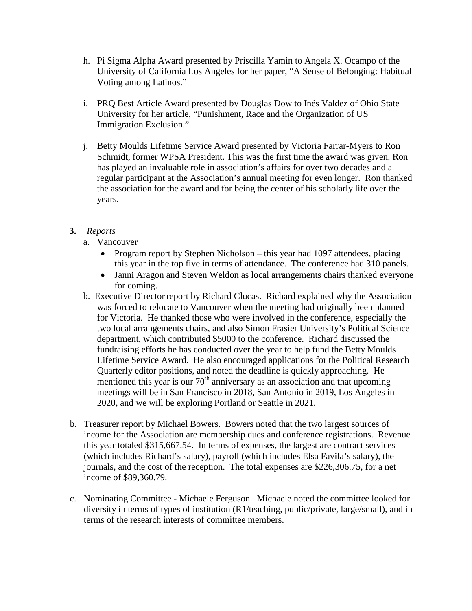- h. Pi Sigma Alpha Award presented by Priscilla Yamin to Angela X. Ocampo of the University of California Los Angeles for her paper, "A Sense of Belonging: Habitual Voting among Latinos."
- i. PRQ Best Article Award presented by Douglas Dow to Inés Valdez of Ohio State University for her article, "Punishment, Race and the Organization of US Immigration Exclusion."
- j. Betty Moulds Lifetime Service Award presented by Victoria Farrar-Myers to Ron Schmidt, former WPSA President. This was the first time the award was given. Ron has played an invaluable role in association's affairs for over two decades and a regular participant at the Association's annual meeting for even longer. Ron thanked the association for the award and for being the center of his scholarly life over the years.

## **3.** *Reports*

- a. Vancouver
	- Program report by Stephen Nicholson this year had 1097 attendees, placing this year in the top five in terms of attendance. The conference had 310 panels.
	- Janni Aragon and Steven Weldon as local arrangements chairs thanked everyone for coming.
- b. Executive Director report by Richard Clucas. Richard explained why the Association was forced to relocate to Vancouver when the meeting had originally been planned for Victoria. He thanked those who were involved in the conference, especially the two local arrangements chairs, and also Simon Frasier University's Political Science department, which contributed \$5000 to the conference. Richard discussed the fundraising efforts he has conducted over the year to help fund the Betty Moulds Lifetime Service Award. He also encouraged applications for the Political Research Quarterly editor positions, and noted the deadline is quickly approaching. He mentioned this year is our  $70<sup>th</sup>$  anniversary as an association and that upcoming meetings will be in San Francisco in 2018, San Antonio in 2019, Los Angeles in 2020, and we will be exploring Portland or Seattle in 2021.
- b. Treasurer report by Michael Bowers. Bowers noted that the two largest sources of income for the Association are membership dues and conference registrations. Revenue this year totaled \$315,667.54. In terms of expenses, the largest are contract services (which includes Richard's salary), payroll (which includes Elsa Favila's salary), the journals, and the cost of the reception. The total expenses are \$226,306.75, for a net income of \$89,360.79.
- c. Nominating Committee Michaele Ferguson. Michaele noted the committee looked for diversity in terms of types of institution (R1/teaching, public/private, large/small), and in terms of the research interests of committee members.